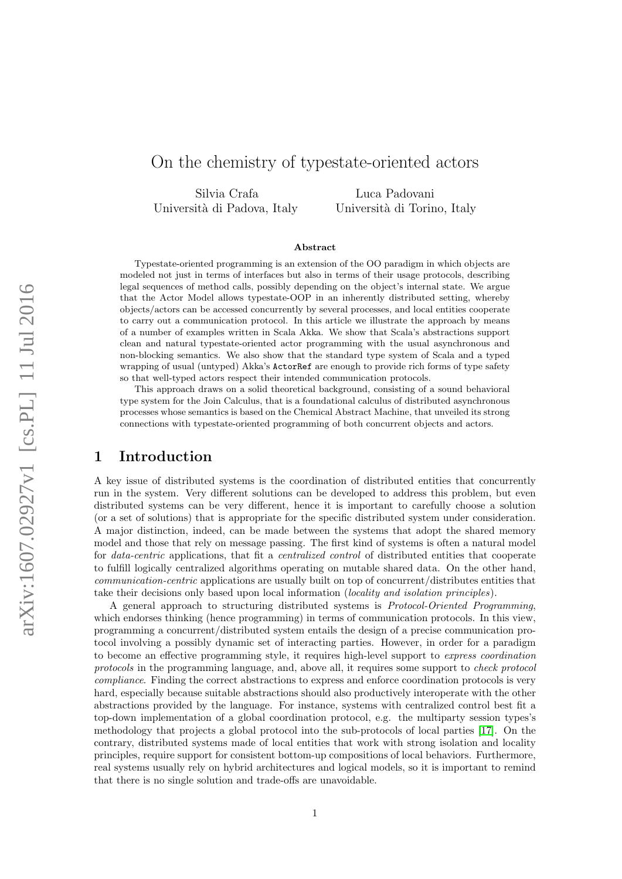# On the chemistry of typestate-oriented actors

Silvia Crafa Luca Padovani Università di Padova, Italy Università di Torino, Italy

#### Abstract

Typestate-oriented programming is an extension of the OO paradigm in which objects are modeled not just in terms of interfaces but also in terms of their usage protocols, describing legal sequences of method calls, possibly depending on the object's internal state. We argue that the Actor Model allows typestate-OOP in an inherently distributed setting, whereby objects/actors can be accessed concurrently by several processes, and local entities cooperate to carry out a communication protocol. In this article we illustrate the approach by means of a number of examples written in Scala Akka. We show that Scala's abstractions support clean and natural typestate-oriented actor programming with the usual asynchronous and non-blocking semantics. We also show that the standard type system of Scala and a typed wrapping of usual (untyped) Akka's ActorRef are enough to provide rich forms of type safety so that well-typed actors respect their intended communication protocols.

This approach draws on a solid theoretical background, consisting of a sound behavioral type system for the Join Calculus, that is a foundational calculus of distributed asynchronous processes whose semantics is based on the Chemical Abstract Machine, that unveiled its strong connections with typestate-oriented programming of both concurrent objects and actors.

### 1 Introduction

A key issue of distributed systems is the coordination of distributed entities that concurrently run in the system. Very different solutions can be developed to address this problem, but even distributed systems can be very different, hence it is important to carefully choose a solution (or a set of solutions) that is appropriate for the specific distributed system under consideration. A major distinction, indeed, can be made between the systems that adopt the shared memory model and those that rely on message passing. The first kind of systems is often a natural model for data-centric applications, that fit a centralized control of distributed entities that cooperate to fulfill logically centralized algorithms operating on mutable shared data. On the other hand, communication-centric applications are usually built on top of concurrent/distributes entities that take their decisions only based upon local information (locality and isolation principles).

A general approach to structuring distributed systems is Protocol-Oriented Programming, which endorses thinking (hence programming) in terms of communication protocols. In this view, programming a concurrent/distributed system entails the design of a precise communication protocol involving a possibly dynamic set of interacting parties. However, in order for a paradigm to become an effective programming style, it requires high-level support to express coordination protocols in the programming language, and, above all, it requires some support to check protocol compliance. Finding the correct abstractions to express and enforce coordination protocols is very hard, especially because suitable abstractions should also productively interoperate with the other abstractions provided by the language. For instance, systems with centralized control best fit a top-down implementation of a global coordination protocol, e.g. the multiparty session types's methodology that projects a global protocol into the sub-protocols of local parties [\[17\]](#page-18-0). On the contrary, distributed systems made of local entities that work with strong isolation and locality principles, require support for consistent bottom-up compositions of local behaviors. Furthermore, real systems usually rely on hybrid architectures and logical models, so it is important to remind that there is no single solution and trade-offs are unavoidable.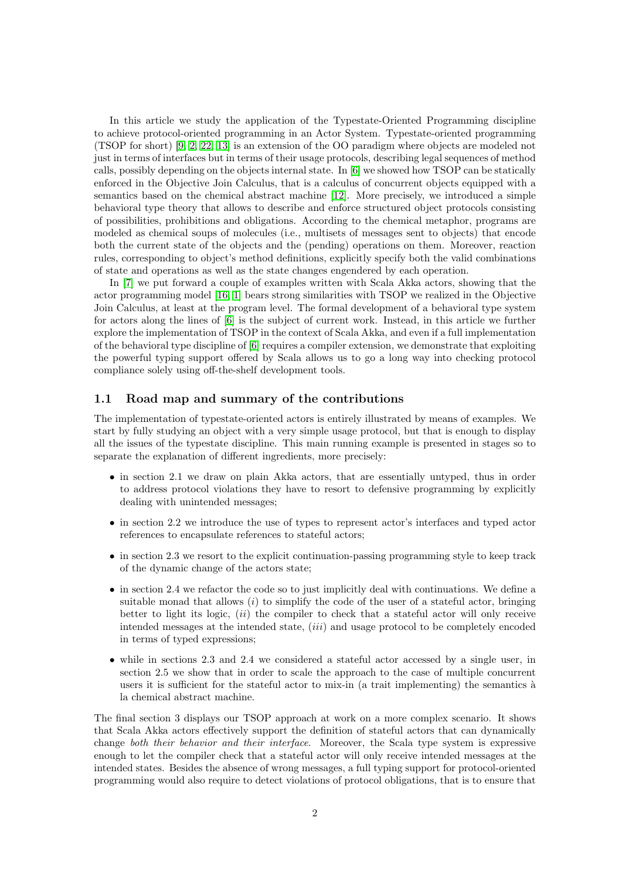In this article we study the application of the Typestate-Oriented Programming discipline to achieve protocol-oriented programming in an Actor System. Typestate-oriented programming (TSOP for short) [\[9,](#page-17-0) [2,](#page-17-1) [22,](#page-18-1) [13\]](#page-17-2) is an extension of the OO paradigm where objects are modeled not just in terms of interfaces but in terms of their usage protocols, describing legal sequences of method calls, possibly depending on the objects internal state. In [\[6\]](#page-17-3) we showed how TSOP can be statically enforced in the Objective Join Calculus, that is a calculus of concurrent objects equipped with a semantics based on the chemical abstract machine [\[12\]](#page-17-4). More precisely, we introduced a simple behavioral type theory that allows to describe and enforce structured object protocols consisting of possibilities, prohibitions and obligations. According to the chemical metaphor, programs are modeled as chemical soups of molecules (i.e., multisets of messages sent to objects) that encode both the current state of the objects and the (pending) operations on them. Moreover, reaction rules, corresponding to object's method definitions, explicitly specify both the valid combinations of state and operations as well as the state changes engendered by each operation.

In [\[7\]](#page-17-5) we put forward a couple of examples written with Scala Akka actors, showing that the actor programming model [\[16,](#page-18-2) [1\]](#page-17-6) bears strong similarities with TSOP we realized in the Objective Join Calculus, at least at the program level. The formal development of a behavioral type system for actors along the lines of [\[6\]](#page-17-3) is the subject of current work. Instead, in this article we further explore the implementation of TSOP in the context of Scala Akka, and even if a full implementation of the behavioral type discipline of [\[6\]](#page-17-3) requires a compiler extension, we demonstrate that exploiting the powerful typing support offered by Scala allows us to go a long way into checking protocol compliance solely using off-the-shelf development tools.

#### 1.1 Road map and summary of the contributions

The implementation of typestate-oriented actors is entirely illustrated by means of examples. We start by fully studying an object with a very simple usage protocol, but that is enough to display all the issues of the typestate discipline. This main running example is presented in stages so to separate the explanation of different ingredients, more precisely:

- in section 2.1 we draw on plain Akka actors, that are essentially untyped, thus in order to address protocol violations they have to resort to defensive programming by explicitly dealing with unintended messages;
- in section 2.2 we introduce the use of types to represent actor's interfaces and typed actor references to encapsulate references to stateful actors;
- in section 2.3 we resort to the explicit continuation-passing programming style to keep track of the dynamic change of the actors state;
- in section 2.4 we refactor the code so to just implicitly deal with continuations. We define a suitable monad that allows  $(i)$  to simplify the code of the user of a stateful actor, bringing better to light its logic,  $(ii)$  the compiler to check that a stateful actor will only receive intended messages at the intended state, (iii) and usage protocol to be completely encoded in terms of typed expressions;
- while in sections 2.3 and 2.4 we considered a stateful actor accessed by a single user, in section 2.5 we show that in order to scale the approach to the case of multiple concurrent users it is sufficient for the stateful actor to mix-in (a trait implementing) the semantics à la chemical abstract machine.

The final section 3 displays our TSOP approach at work on a more complex scenario. It shows that Scala Akka actors effectively support the definition of stateful actors that can dynamically change both their behavior and their interface. Moreover, the Scala type system is expressive enough to let the compiler check that a stateful actor will only receive intended messages at the intended states. Besides the absence of wrong messages, a full typing support for protocol-oriented programming would also require to detect violations of protocol obligations, that is to ensure that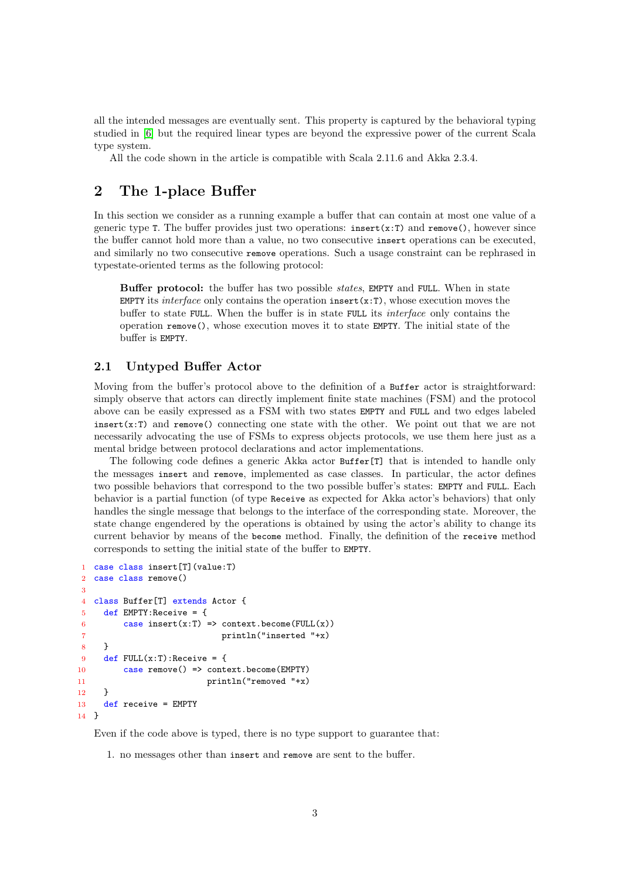all the intended messages are eventually sent. This property is captured by the behavioral typing studied in [\[6\]](#page-17-3) but the required linear types are beyond the expressive power of the current Scala type system.

All the code shown in the article is compatible with Scala 2.11.6 and Akka 2.3.4.

### 2 The 1-place Buffer

In this section we consider as a running example a buffer that can contain at most one value of a generic type T. The buffer provides just two operations:  $insert(x:T)$  and remove(), however since the buffer cannot hold more than a value, no two consecutive insert operations can be executed, and similarly no two consecutive remove operations. Such a usage constraint can be rephrased in typestate-oriented terms as the following protocol:

Buffer protocol: the buffer has two possible states, EMPTY and FULL. When in state EMPTY its *interface* only contains the operation insert  $(x:T)$ , whose execution moves the buffer to state FULL. When the buffer is in state FULL its interface only contains the operation remove(), whose execution moves it to state EMPTY. The initial state of the buffer is EMPTY.

### 2.1 Untyped Buffer Actor

Moving from the buffer's protocol above to the definition of a Buffer actor is straightforward: simply observe that actors can directly implement finite state machines (FSM) and the protocol above can be easily expressed as a FSM with two states EMPTY and FULL and two edges labeled insert( $x:T$ ) and remove() connecting one state with the other. We point out that we are not necessarily advocating the use of FSMs to express objects protocols, we use them here just as a mental bridge between protocol declarations and actor implementations.

The following code defines a generic Akka actor Buffer[T] that is intended to handle only the messages insert and remove, implemented as case classes. In particular, the actor defines two possible behaviors that correspond to the two possible buffer's states: EMPTY and FULL. Each behavior is a partial function (of type Receive as expected for Akka actor's behaviors) that only handles the single message that belongs to the interface of the corresponding state. Moreover, the state change engendered by the operations is obtained by using the actor's ability to change its current behavior by means of the become method. Finally, the definition of the receive method corresponds to setting the initial state of the buffer to EMPTY.

```
1 case class insert[T](value:T)
2 case class remove()
3
4 class Buffer[T] extends Actor {
5 def EMPTY:Receive = {
6 case insert(x:T) => context.become(FULL(x))
7 println("inserted "+x)
8 }
9 def FULL(x:T):Receive = {
10 case remove() => context.become(EMPTY)
11 println("removed "+x)
12 \quad \frac{1}{2}13 def receive = EMPTY
14 }
```
Even if the code above is typed, there is no type support to guarantee that:

1. no messages other than insert and remove are sent to the buffer.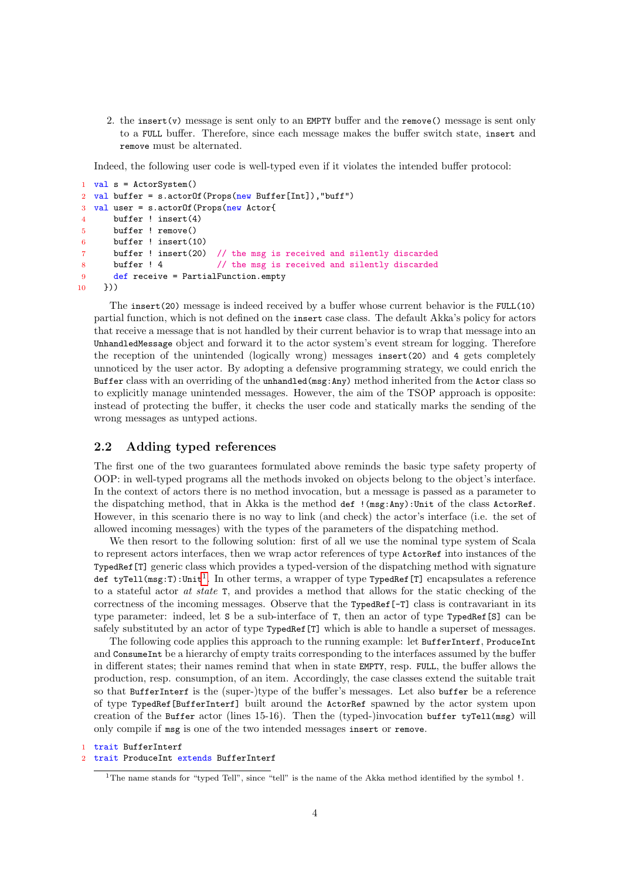2. the insert(v) message is sent only to an EMPTY buffer and the remove() message is sent only to a FULL buffer. Therefore, since each message makes the buffer switch state, insert and remove must be alternated.

Indeed, the following user code is well-typed even if it violates the intended buffer protocol:

```
1 val s = ActorSystem()
2 val buffer = s.actorOf(Props(new Buffer[Int]),"buff")
3 val user = s.actorOf(Props(new Actor{
4 buffer ! insert(4)
5 buffer ! remove()
6 buffer ! insert(10)
7 buffer ! insert(20) // the msg is received and silently discarded
8 buffer ! 4 // the msg is received and silently discarded
9 def receive = PartialFunction.empty
10 }))
```
The insert(20) message is indeed received by a buffer whose current behavior is the FULL(10) partial function, which is not defined on the insert case class. The default Akka's policy for actors that receive a message that is not handled by their current behavior is to wrap that message into an UnhandledMessage object and forward it to the actor system's event stream for logging. Therefore the reception of the unintended (logically wrong) messages insert(20) and 4 gets completely unnoticed by the user actor. By adopting a defensive programming strategy, we could enrich the Buffer class with an overriding of the unhandled(msg:Any) method inherited from the Actor class so to explicitly manage unintended messages. However, the aim of the TSOP approach is opposite: instead of protecting the buffer, it checks the user code and statically marks the sending of the wrong messages as untyped actions.

#### 2.2 Adding typed references

The first one of the two guarantees formulated above reminds the basic type safety property of OOP: in well-typed programs all the methods invoked on objects belong to the object's interface. In the context of actors there is no method invocation, but a message is passed as a parameter to the dispatching method, that in Akka is the method def !(msg:Any):Unit of the class ActorRef. However, in this scenario there is no way to link (and check) the actor's interface (i.e. the set of allowed incoming messages) with the types of the parameters of the dispatching method.

We then resort to the following solution: first of all we use the nominal type system of Scala to represent actors interfaces, then we wrap actor references of type ActorRef into instances of the TypedRef[T] generic class which provides a typed-version of the dispatching method with signature def tyTell(msg:T):Unit<sup>[1](#page-3-0)</sup>. In other terms, a wrapper of type TypedRef[T] encapsulates a reference to a stateful actor at state T, and provides a method that allows for the static checking of the correctness of the incoming messages. Observe that the TypedRef[-T] class is contravariant in its type parameter: indeed, let S be a sub-interface of T, then an actor of type TypedRef[S] can be safely substituted by an actor of type TypedRef [T] which is able to handle a superset of messages.

The following code applies this approach to the running example: let BufferInterf, ProduceInt and ConsumeInt be a hierarchy of empty traits corresponding to the interfaces assumed by the buffer in different states; their names remind that when in state EMPTY, resp. FULL, the buffer allows the production, resp. consumption, of an item. Accordingly, the case classes extend the suitable trait so that BufferInterf is the (super-)type of the buffer's messages. Let also buffer be a reference of type TypedRef[BufferInterf] built around the ActorRef spawned by the actor system upon creation of the Buffer actor (lines 15-16). Then the (typed-)invocation buffer tyTell(msg) will only compile if msg is one of the two intended messages insert or remove.

trait BufferInterf

#### 2 trait ProduceInt extends BufferInterf

<span id="page-3-0"></span><sup>&</sup>lt;sup>1</sup>The name stands for "typed Tell", since "tell" is the name of the Akka method identified by the symbol !.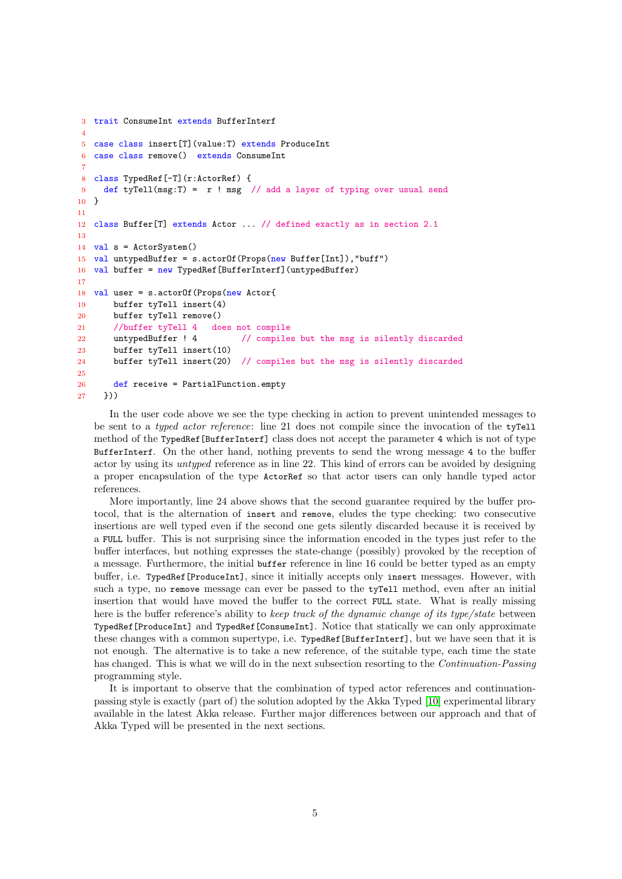```
3 trait ConsumeInt extends BufferInterf
4
5 case class insert[T](value:T) extends ProduceInt
6 case class remove() extends ConsumeInt
 7
8 class TypedRef[-T](r:ActorRef) {
9 def tyTell(msg:T) = r ! msg // add a layer of typing over usual send
10 }
11
12 class Buffer[T] extends Actor ... // defined exactly as in section 2.1
13
14 val s = ActorSystem()
15 val untypedBuffer = s.actorOf(Props(new Buffer[Int]),"buff")
16 val buffer = new TypedRef[BufferInterf](untypedBuffer)
17
18 val user = s.actorOf(Props(new Actor{
19 buffer tyTell insert(4)
20 buffer tyTell remove()
21 //buffer tyTell 4 does not compile
22 untypedBuffer ! 4 // compiles but the msg is silently discarded
23 buffer tyTell insert(10)
24 buffer tyTell insert(20) // compiles but the msg is silently discarded
25
26 def receive = PartialFunction.empty
27 }))
```
In the user code above we see the type checking in action to prevent unintended messages to be sent to a *typed actor reference*: line 21 does not compile since the invocation of the ty<sup>-</sup> method of the TypedRef[BufferInterf] class does not accept the parameter 4 which is not of type BufferInterf. On the other hand, nothing prevents to send the wrong message 4 to the buffer actor by using its untyped reference as in line 22. This kind of errors can be avoided by designing a proper encapsulation of the type ActorRef so that actor users can only handle typed actor references.

More importantly, line 24 above shows that the second guarantee required by the buffer protocol, that is the alternation of insert and remove, eludes the type checking: two consecutive insertions are well typed even if the second one gets silently discarded because it is received by a FULL buffer. This is not surprising since the information encoded in the types just refer to the buffer interfaces, but nothing expresses the state-change (possibly) provoked by the reception of a message. Furthermore, the initial buffer reference in line 16 could be better typed as an empty buffer, i.e. TypedRef[ProduceInt], since it initially accepts only insert messages. However, with such a type, no remove message can ever be passed to the tyTell method, even after an initial insertion that would have moved the buffer to the correct FULL state. What is really missing here is the buffer reference's ability to keep track of the dynamic change of its type/state between TypedRef[ProduceInt] and TypedRef[ConsumeInt]. Notice that statically we can only approximate these changes with a common supertype, i.e. TypedRef[BufferInterf], but we have seen that it is not enough. The alternative is to take a new reference, of the suitable type, each time the state has changed. This is what we will do in the next subsection resorting to the *Continuation-Passing* programming style.

It is important to observe that the combination of typed actor references and continuationpassing style is exactly (part of) the solution adopted by the Akka Typed [\[10\]](#page-17-7) experimental library available in the latest Akka release. Further major differences between our approach and that of Akka Typed will be presented in the next sections.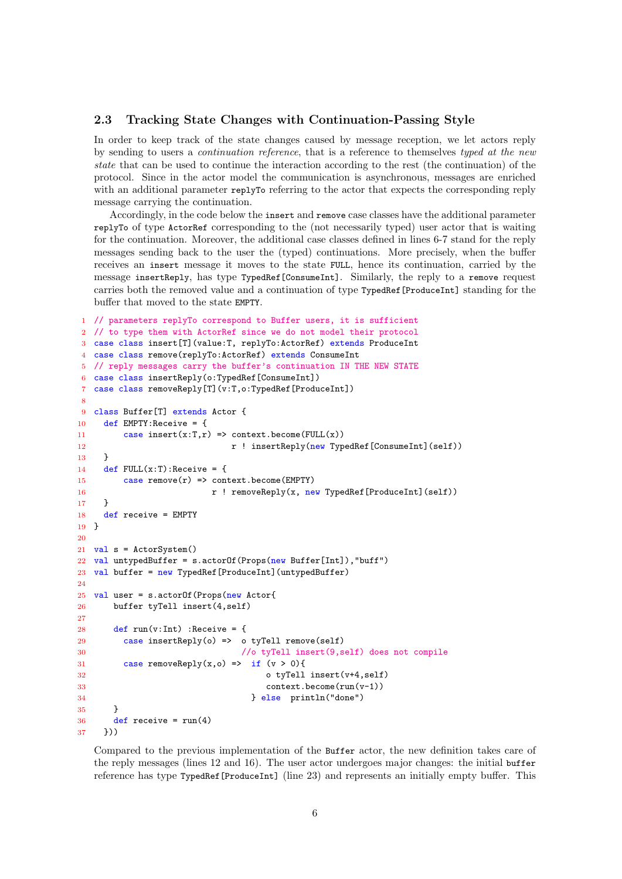#### 2.3 Tracking State Changes with Continuation-Passing Style

In order to keep track of the state changes caused by message reception, we let actors reply by sending to users a continuation reference, that is a reference to themselves typed at the new state that can be used to continue the interaction according to the rest (the continuation) of the protocol. Since in the actor model the communication is asynchronous, messages are enriched with an additional parameter replyTo referring to the actor that expects the corresponding reply message carrying the continuation.

Accordingly, in the code below the insert and remove case classes have the additional parameter replyTo of type ActorRef corresponding to the (not necessarily typed) user actor that is waiting for the continuation. Moreover, the additional case classes defined in lines 6-7 stand for the reply messages sending back to the user the (typed) continuations. More precisely, when the buffer receives an insert message it moves to the state FULL, hence its continuation, carried by the message insertReply, has type TypedRef[ConsumeInt]. Similarly, the reply to a remove request carries both the removed value and a continuation of type TypedRef[ProduceInt] standing for the buffer that moved to the state EMPTY.

```
1 // parameters replyTo correspond to Buffer users, it is sufficient
2 // to type them with ActorRef since we do not model their protocol
3 case class insert[T](value:T, replyTo:ActorRef) extends ProduceInt
4 case class remove(replyTo:ActorRef) extends ConsumeInt
5 // reply messages carry the buffer's continuation IN THE NEW STATE
6 case class insertReply(o:TypedRef[ConsumeInt])
7 case class removeReply[T](v:T,o:TypedRef[ProduceInt])
8
9 class Buffer[T] extends Actor {
10 def EMPTY:Receive = {
11 case insert(x:T,r) => context.become(FULL(x))
12 12 r ! insertReply(new TypedRef[ConsumeInt](self))
13 }
14 def FULL(x:T): Receive = {
15 case remove(r) \Rightarrow context.become(EMPTY)
16 r ! removeReply(x, new TypedRef[ProduceInt](self))
17 }
18 def receive = EMPTY
19 }
20
21 val s = ActorSystem()
22 val untypedBuffer = s.actorOf(Props(new Buffer[Int]),"buff")
23 val buffer = new TypedRef[ProduceInt](untypedBuffer)
24
25 val user = s.actorOf(Props(new Actor{
26 buffer tyTell insert(4,self)
27
28 def run(v:Int) : Receive = {
29 case insertReply(o) => o tyTell remove(self)
30 //o tyTell insert(9,self) does not compile
31 case removeReply(x,o) => if (v > 0){
32 o tyTell insert(v+4,self)
33 context.become(run(v-1))
34 } else println("done")
35 }
36 def receive = run(4)
37 }))
```
Compared to the previous implementation of the Buffer actor, the new definition takes care of the reply messages (lines 12 and 16). The user actor undergoes major changes: the initial buffer reference has type TypedRef[ProduceInt] (line 23) and represents an initially empty buffer. This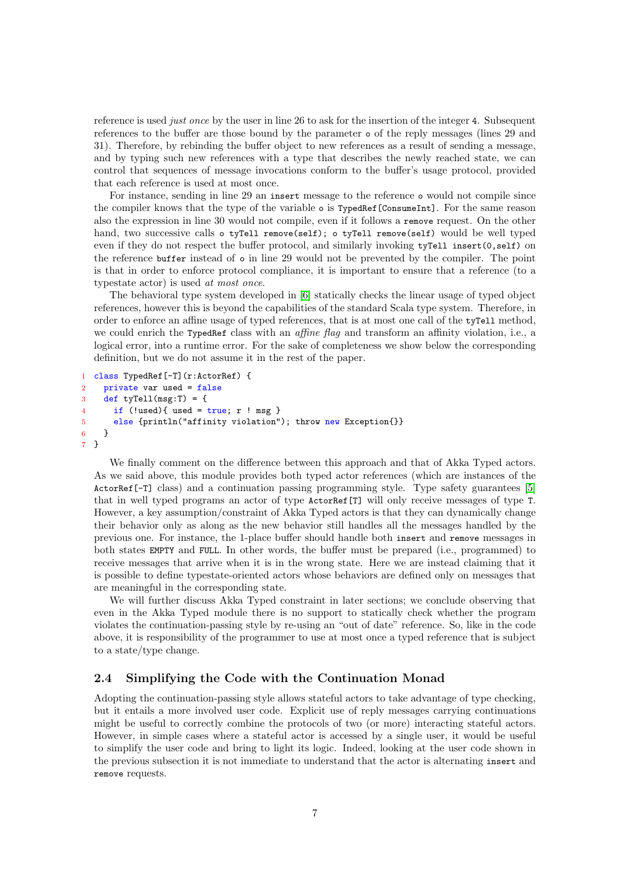reference is used *just once* by the user in line 26 to ask for the insertion of the integer 4. Subsequent references to the buffer are those bound by the parameter o of the reply messages (lines 29 and 31). Therefore, by rebinding the buffer object to new references as a result of sending a message, and by typing such new references with a type that describes the newly reached state, we can control that sequences of message invocations conform to the buffer's usage protocol, provided that each reference is used at most once.

For instance, sending in line 29 an insert message to the reference o would not compile since the compiler knows that the type of the variable o is TypedRef[ConsumeInt]. For the same reason also the expression in line 30 would not compile, even if it follows a remove request. On the other hand, two successive calls o tyTell remove(self); o tyTell remove(self) would be well typed even if they do not respect the buffer protocol, and similarly invoking tyTell insert(0,self) on the reference buffer instead of o in line 29 would not be prevented by the compiler. The point is that in order to enforce protocol compliance, it is important to ensure that a reference (to a typestate actor) is used at most once.

The behavioral type system developed in [\[6\]](#page-17-3) statically checks the linear usage of typed object references, however this is beyond the capabilities of the standard Scala type system. Therefore, in order to enforce an affine usage of typed references, that is at most one call of the tyTell method, we could enrich the TypedRef class with an *affine flag* and transform an affinity violation, i.e., a logical error, into a runtime error. For the sake of completeness we show below the corresponding definition, but we do not assume it in the rest of the paper.

```
1 class TypedRef[-T](r:ActorRef) {
2 private var used = false
3 def tyTell(msg:T) = \{4 if (!used) { used = true; r ! msg }5 else {println("affinity violation"); throw new Exception{}}
6 }
7 }
```
We finally comment on the difference between this approach and that of Akka Typed actors. As we said above, this module provides both typed actor references (which are instances of the ActorRef<sup>[-T]</sup> class) and a continuation passing programming style. Type safety guarantees [\[5\]](#page-17-8) that in well typed programs an actor of type ActorRef[T] will only receive messages of type T. However, a key assumption/constraint of Akka Typed actors is that they can dynamically change their behavior only as along as the new behavior still handles all the messages handled by the previous one. For instance, the 1-place buffer should handle both insert and remove messages in both states EMPTY and FULL. In other words, the buffer must be prepared (i.e., programmed) to receive messages that arrive when it is in the wrong state. Here we are instead claiming that it is possible to define typestate-oriented actors whose behaviors are defined only on messages that are meaningful in the corresponding state.

We will further discuss Akka Typed constraint in later sections; we conclude observing that even in the Akka Typed module there is no support to statically check whether the program violates the continuation-passing style by re-using an "out of date" reference. So, like in the code above, it is responsibility of the programmer to use at most once a typed reference that is subject to a state/type change.

#### 2.4 Simplifying the Code with the Continuation Monad

Adopting the continuation-passing style allows stateful actors to take advantage of type checking, but it entails a more involved user code. Explicit use of reply messages carrying continuations might be useful to correctly combine the protocols of two (or more) interacting stateful actors. However, in simple cases where a stateful actor is accessed by a single user, it would be useful to simplify the user code and bring to light its logic. Indeed, looking at the user code shown in the previous subsection it is not immediate to understand that the actor is alternating insert and remove requests.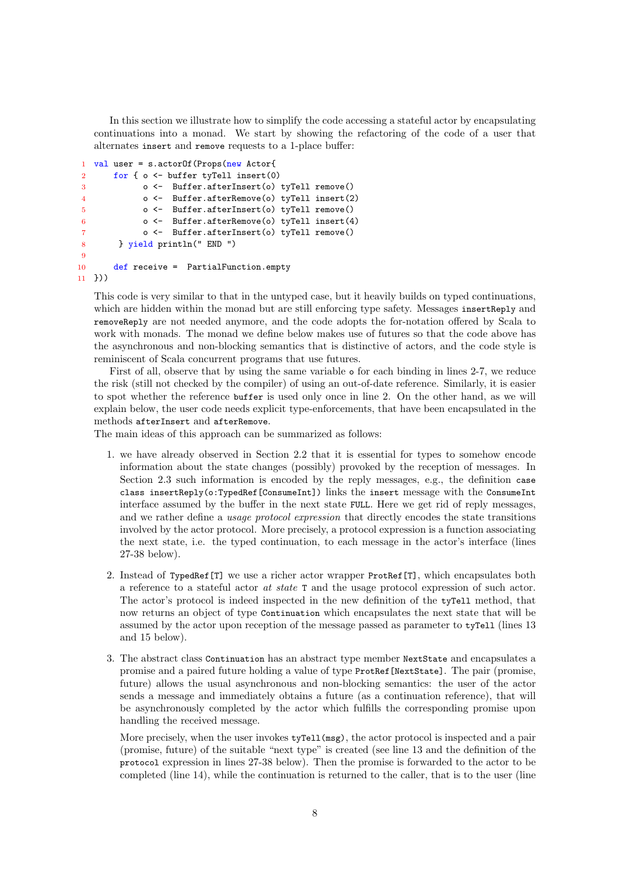In this section we illustrate how to simplify the code accessing a stateful actor by encapsulating continuations into a monad. We start by showing the refactoring of the code of a user that alternates insert and remove requests to a 1-place buffer:

```
1 val user = s.actorOf(Props(new Actor{
2 for { o <- buffer tyTell insert(0)
3 o <- Buffer.afterInsert(o) tyTell remove()
4 o <- Buffer.afterRemove(o) tyTell insert(2)
5 o <- Buffer.afterInsert(o) tyTell remove()
6 o <- Buffer.afterRemove(o) tyTell insert(4)
7 o <- Buffer.afterInsert(o) tyTell remove()
8 } yield println(" END ")
\overline{9}10 def receive = PartialFunction.empty
11 }))
```
This code is very similar to that in the untyped case, but it heavily builds on typed continuations, which are hidden within the monad but are still enforcing type safety. Messages insertReply and removeReply are not needed anymore, and the code adopts the for-notation offered by Scala to work with monads. The monad we define below makes use of futures so that the code above has the asynchronous and non-blocking semantics that is distinctive of actors, and the code style is reminiscent of Scala concurrent programs that use futures.

First of all, observe that by using the same variable o for each binding in lines 2-7, we reduce the risk (still not checked by the compiler) of using an out-of-date reference. Similarly, it is easier to spot whether the reference buffer is used only once in line 2. On the other hand, as we will explain below, the user code needs explicit type-enforcements, that have been encapsulated in the methods afterInsert and afterRemove.

The main ideas of this approach can be summarized as follows:

- 1. we have already observed in Section 2.2 that it is essential for types to somehow encode information about the state changes (possibly) provoked by the reception of messages. In Section 2.3 such information is encoded by the reply messages, e.g., the definition case class insertReply(o:TypedRef[ConsumeInt]) links the insert message with the ConsumeInt interface assumed by the buffer in the next state FULL. Here we get rid of reply messages, and we rather define a *usage protocol expression* that directly encodes the state transitions involved by the actor protocol. More precisely, a protocol expression is a function associating the next state, i.e. the typed continuation, to each message in the actor's interface (lines 27-38 below).
- 2. Instead of TypedRef[T] we use a richer actor wrapper ProtRef[T], which encapsulates both a reference to a stateful actor at state T and the usage protocol expression of such actor. The actor's protocol is indeed inspected in the new definition of the tyTell method, that now returns an object of type Continuation which encapsulates the next state that will be assumed by the actor upon reception of the message passed as parameter to tyTell (lines 13 and 15 below).
- 3. The abstract class Continuation has an abstract type member NextState and encapsulates a promise and a paired future holding a value of type ProtRef[NextState]. The pair (promise, future) allows the usual asynchronous and non-blocking semantics: the user of the actor sends a message and immediately obtains a future (as a continuation reference), that will be asynchronously completed by the actor which fulfills the corresponding promise upon handling the received message.

More precisely, when the user invokes  $\text{tyTell}(\text{msg})$ , the actor protocol is inspected and a pair (promise, future) of the suitable "next type" is created (see line 13 and the definition of the protocol expression in lines 27-38 below). Then the promise is forwarded to the actor to be completed (line 14), while the continuation is returned to the caller, that is to the user (line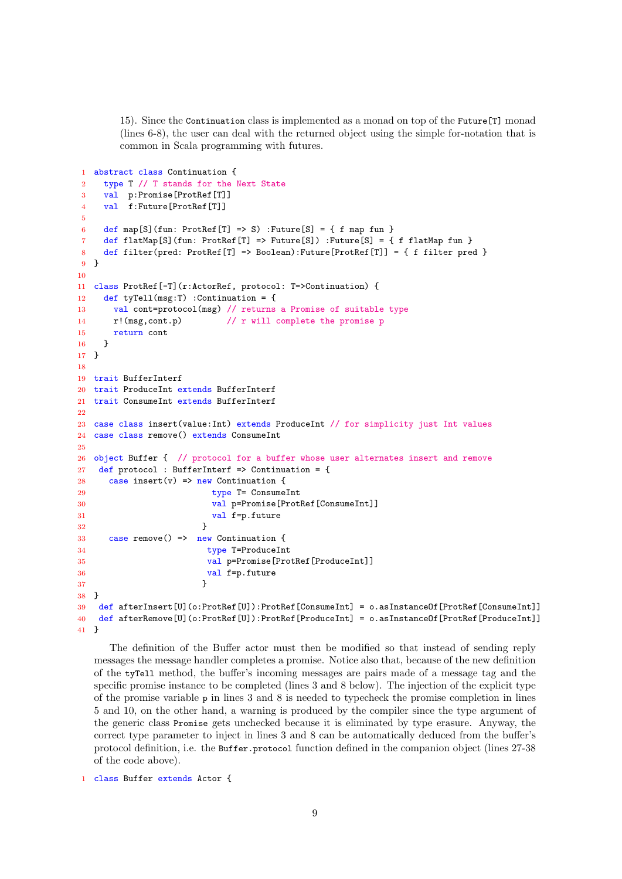15). Since the Continuation class is implemented as a monad on top of the Future[T] monad (lines 6-8), the user can deal with the returned object using the simple for-notation that is common in Scala programming with futures.

```
1 abstract class Continuation {
2 type T // T stands for the Next State
3 val p:Promise[ProtRef[T]]
4 val f:Future[ProtRef[T]]
5
6 def map[S](fun: ProtRef[T] => S) : Future[S] = { f map fun }
7 def flatMap[S](fun: ProtRef[T] => Future[S]) :Future[S] = { f flatMap fun }
8 def filter(pred: ProtRef[T] => Boolean):Future[ProtRef[T]] = { f filter pred }
9 }
10
11 class ProtRef[-T](r:ActorRef, protocol: T=>Continuation) {
12 def tyTell(msg:T) :Continuation = {
13 val cont=protocol(msg) // returns a Promise of suitable type
14 r!(msg,cont.p) // r will complete the promise p
15 return cont
16 }
17 }
18
19 trait BufferInterf
20 trait ProduceInt extends BufferInterf
21 trait ConsumeInt extends BufferInterf
22
23 case class insert(value:Int) extends ProduceInt // for simplicity just Int values
24 case class remove() extends ConsumeInt
2526 object Buffer { // protocol for a buffer whose user alternates insert and remove
27 def protocol : BufferInterf => Continuation = {
28 case insert(v) => new Continuation {
29 type T= ConsumeInt
30 val p=Promise[ProtRef[ConsumeInt]]
31 val f=p.future
32 }
33 case remove() => new Continuation {
34 type T=ProduceInt
35 val p=Promise[ProtRef[ProduceInt]]
36 val f=p.future
37 }
38 }
39 def afterInsert[U](o:ProtRef[U]):ProtRef[ConsumeInt] = o.asInstanceOf[ProtRef[ConsumeInt]]
40 def afterRemove[U](o:ProtRef[U]):ProtRef[ProduceInt] = o.asInstanceOf[ProtRef[ProduceInt]]
41 }
```
The definition of the Buffer actor must then be modified so that instead of sending reply messages the message handler completes a promise. Notice also that, because of the new definition of the tyTell method, the buffer's incoming messages are pairs made of a message tag and the specific promise instance to be completed (lines 3 and 8 below). The injection of the explicit type of the promise variable p in lines 3 and 8 is needed to typecheck the promise completion in lines 5 and 10, on the other hand, a warning is produced by the compiler since the type argument of the generic class Promise gets unchecked because it is eliminated by type erasure. Anyway, the correct type parameter to inject in lines 3 and 8 can be automatically deduced from the buffer's protocol definition, i.e. the Buffer.protocol function defined in the companion object (lines 27-38 of the code above).

class Buffer extends Actor {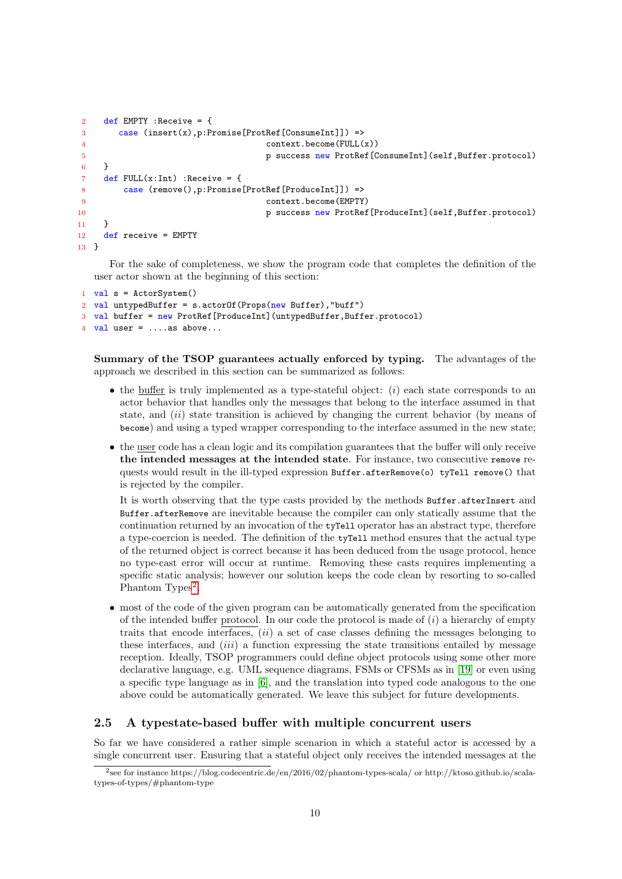```
2 def EMPTY :Receive = {
3 case (insert(x),p:Promise[ProtRef[ConsumeInt]]) =>
4 context.become(FULL(x))
5 p success new ProtRef[ConsumeInt](self,Buffer.protocol)
6 }
7 def FULL(x:Int): Receive = {
8 case (remove(),p:Promise[ProtRef[ProduceInt]]) =>
9 context.become(EMPTY)
10 p success new ProtRef[ProduceInt](self,Buffer.protocol)
11 }
12 def receive = EMPTY
13 }
```
For the sake of completeness, we show the program code that completes the definition of the user actor shown at the beginning of this section:

```
1 val s = ActorSystem()
2 val untypedBuffer = s.actorOf(Props(new Buffer), "buffer")3 val buffer = new ProtRef[ProduceInt](untypedBuffer,Buffer.protocol)
  val user = \dots as above...
```
Summary of the TSOP guarantees actually enforced by typing. The advantages of the approach we described in this section can be summarized as follows:

- $\bullet$  the buffer is truly implemented as a type-stateful object:  $(i)$  each state corresponds to an actor behavior that handles only the messages that belong to the interface assumed in that state, and  $(ii)$  state transition is achieved by changing the current behavior (by means of become) and using a typed wrapper corresponding to the interface assumed in the new state;
- the user code has a clean logic and its compilation guarantees that the buffer will only receive the intended messages at the intended state. For instance, two consecutive remove requests would result in the ill-typed expression Buffer.afterRemove(o) tyTell remove() that is rejected by the compiler.

It is worth observing that the type casts provided by the methods Buffer.afterInsert and Buffer.afterRemove are inevitable because the compiler can only statically assume that the continuation returned by an invocation of the tyTell operator has an abstract type, therefore a type-coercion is needed. The definition of the tyTell method ensures that the actual type of the returned object is correct because it has been deduced from the usage protocol, hence no type-cast error will occur at runtime. Removing these casts requires implementing a specific static analysis; however our solution keeps the code clean by resorting to so-called Phantom Types<sup>[2](#page-9-0)</sup>.

• most of the code of the given program can be automatically generated from the specification of the intended buffer protocol. In our code the protocol is made of  $(i)$  a hierarchy of empty traits that encode interfaces,  $(ii)$  a set of case classes defining the messages belonging to these interfaces, and  $(iii)$  a function expressing the state transitions entailed by message reception. Ideally, TSOP programmers could define object protocols using some other more declarative language, e.g. UML sequence diagrams, FSMs or CFSMs as in [\[19\]](#page-18-3) or even using a specific type language as in [\[6\]](#page-17-3), and the translation into typed code analogous to the one above could be automatically generated. We leave this subject for future developments.

#### 2.5 A typestate-based buffer with multiple concurrent users

So far we have considered a rather simple scenarion in which a stateful actor is accessed by a single concurrent user. Ensuring that a stateful object only receives the intended messages at the

<span id="page-9-0"></span><sup>2</sup> see for instance https://blog.codecentric.de/en/2016/02/phantom-types-scala/ or http://ktoso.github.io/scalatypes-of-types/#phantom-type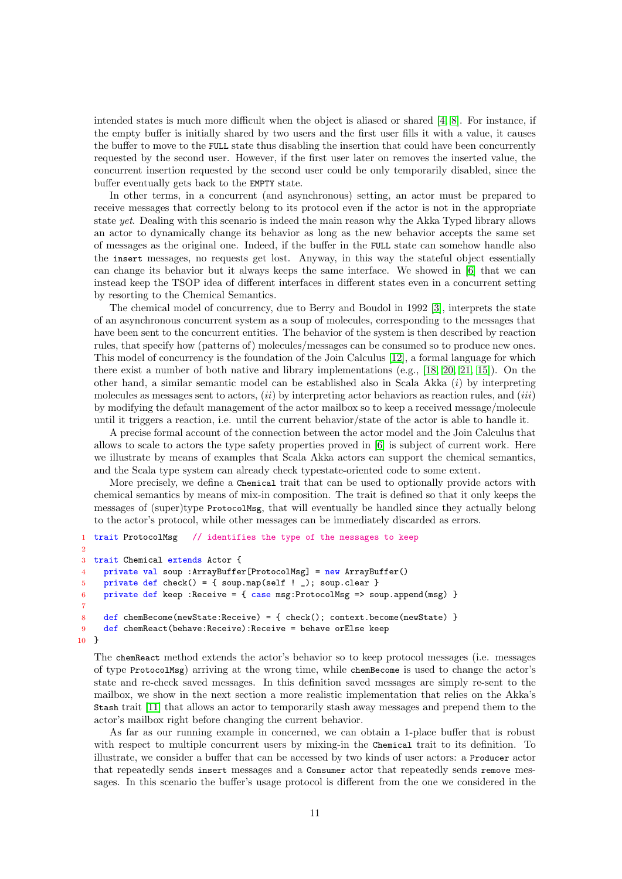intended states is much more difficult when the object is aliased or shared [\[4,](#page-17-9) [8\]](#page-17-10). For instance, if the empty buffer is initially shared by two users and the first user fills it with a value, it causes the buffer to move to the FULL state thus disabling the insertion that could have been concurrently requested by the second user. However, if the first user later on removes the inserted value, the concurrent insertion requested by the second user could be only temporarily disabled, since the buffer eventually gets back to the EMPTY state.

In other terms, in a concurrent (and asynchronous) setting, an actor must be prepared to receive messages that correctly belong to its protocol even if the actor is not in the appropriate state yet. Dealing with this scenario is indeed the main reason why the Akka Typed library allows an actor to dynamically change its behavior as long as the new behavior accepts the same set of messages as the original one. Indeed, if the buffer in the FULL state can somehow handle also the insert messages, no requests get lost. Anyway, in this way the stateful object essentially can change its behavior but it always keeps the same interface. We showed in [\[6\]](#page-17-3) that we can instead keep the TSOP idea of different interfaces in different states even in a concurrent setting by resorting to the Chemical Semantics.

The chemical model of concurrency, due to Berry and Boudol in 1992 [\[3\]](#page-17-11), interprets the state of an asynchronous concurrent system as a soup of molecules, corresponding to the messages that have been sent to the concurrent entities. The behavior of the system is then described by reaction rules, that specify how (patterns of) molecules/messages can be consumed so to produce new ones. This model of concurrency is the foundation of the Join Calculus [\[12\]](#page-17-4), a formal language for which there exist a number of both native and library implementations (e.g., [\[18,](#page-18-4) [20,](#page-18-5) [21,](#page-18-6) [15\]](#page-18-7)). On the other hand, a similar semantic model can be established also in Scala Akka  $(i)$  by interpreting molecules as messages sent to actors,  $(ii)$  by interpreting actor behaviors as reaction rules, and  $(iii)$ by modifying the default management of the actor mailbox so to keep a received message/molecule until it triggers a reaction, i.e. until the current behavior/state of the actor is able to handle it.

A precise formal account of the connection between the actor model and the Join Calculus that allows to scale to actors the type safety properties proved in [\[6\]](#page-17-3) is subject of current work. Here we illustrate by means of examples that Scala Akka actors can support the chemical semantics, and the Scala type system can already check typestate-oriented code to some extent.

More precisely, we define a Chemical trait that can be used to optionally provide actors with chemical semantics by means of mix-in composition. The trait is defined so that it only keeps the messages of (super)type ProtocolMsg, that will eventually be handled since they actually belong to the actor's protocol, while other messages can be immediately discarded as errors.

```
1 trait ProtocolMsg // identifies the type of the messages to keep
\overline{2}3 trait Chemical extends Actor {
4 private val soup :ArrayBuffer[ProtocolMsg] = new ArrayBuffer()
5 private def check() = { soup.map(self ! _); soup.clear }
6 private def keep :Receive = { case msg:ProtocolMsg => soup.append(msg) }
7
8 def chemBecome(newState:Receive) = { check(); context.become(newState) }
9 def chemReact(behave:Receive):Receive = behave orElse keep
10 }
```
The chemReact method extends the actor's behavior so to keep protocol messages (i.e. messages of type ProtocolMsg) arriving at the wrong time, while chemBecome is used to change the actor's state and re-check saved messages. In this definition saved messages are simply re-sent to the mailbox, we show in the next section a more realistic implementation that relies on the Akka's Stash trait [\[11\]](#page-17-12) that allows an actor to temporarily stash away messages and prepend them to the actor's mailbox right before changing the current behavior.

As far as our running example in concerned, we can obtain a 1-place buffer that is robust with respect to multiple concurrent users by mixing-in the Chemical trait to its definition. To illustrate, we consider a buffer that can be accessed by two kinds of user actors: a Producer actor that repeatedly sends insert messages and a Consumer actor that repeatedly sends remove messages. In this scenario the buffer's usage protocol is different from the one we considered in the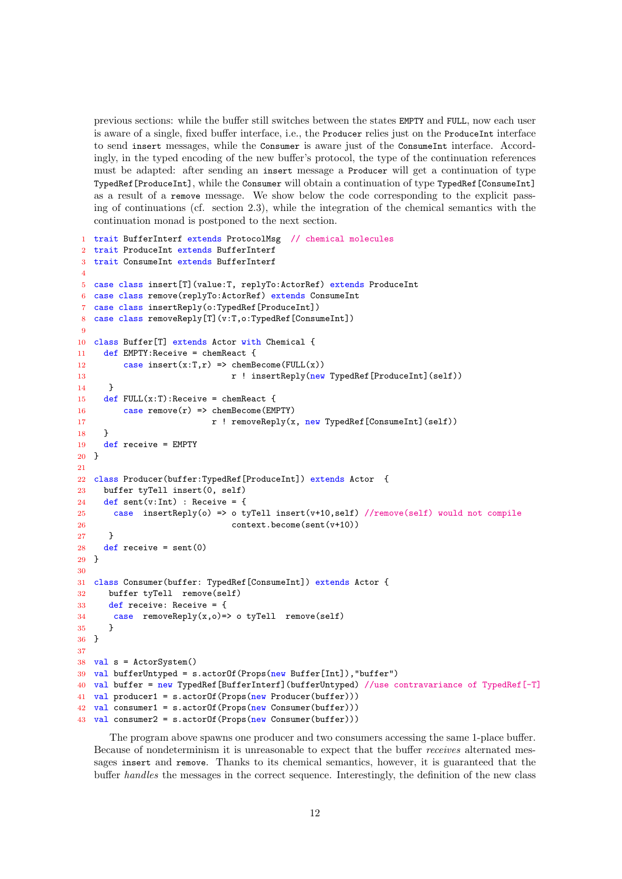previous sections: while the buffer still switches between the states EMPTY and FULL, now each user is aware of a single, fixed buffer interface, i.e., the Producer relies just on the ProduceInt interface to send insert messages, while the Consumer is aware just of the ConsumeInt interface. Accordingly, in the typed encoding of the new buffer's protocol, the type of the continuation references must be adapted: after sending an insert message a Producer will get a continuation of type TypedRef[ProduceInt], while the Consumer will obtain a continuation of type TypedRef[ConsumeInt] as a result of a remove message. We show below the code corresponding to the explicit passing of continuations (cf. section 2.3), while the integration of the chemical semantics with the continuation monad is postponed to the next section.

```
1 trait BufferInterf extends ProtocolMsg // chemical molecules
2 trait ProduceInt extends BufferInterf
3 trait ConsumeInt extends BufferInterf
4
5 case class insert[T](value:T, replyTo:ActorRef) extends ProduceInt
6 case class remove(replyTo:ActorRef) extends ConsumeInt
7 case class insertReply(o:TypedRef[ProduceInt])
8 case class removeReply[T](v:T,o:TypedRef[ConsumeInt])
9
10 class Buffer[T] extends Actor with Chemical {
11 def EMPTY:Receive = chemReact {
12 case insert(x:T,r) => chemBecome(FULL(x))
13 13 r ! insertReply(new TypedRef[ProduceInt](self))
14 }
15 def FULL(x:T): Receive = chem React {
16 case remove(r) => chemBecome(EMPTY)
17 r ! removeReply(x, new TypedRef[ConsumeInt](self))
18 }
19 def receive = EMPTY
20 }
21
22 class Producer(buffer:TypedRef[ProduceInt]) extends Actor {
23 buffer tyTell insert(0, self)
24 def sent(v:Int) : Receive = {
25 case insertReply(o) => o tyTell insert(v+10,self) //remove(self) would not compile
26 context.become(sent(v+10))
27 }
28 def receive = sent(0)
29 }
30
31 class Consumer(buffer: TypedRef[ConsumeInt]) extends Actor {
32 buffer tyTell remove(self)
33 def receive: Receive = {
34 case removeReply(x,o)=> o tyTell remove(self)
35 }
36 }
37
38 val s = ActorSystem()
39 val bufferUntyped = s.actorOf(Props(new Buffer[Int]),"buffer")
  val buffer = new TypedRef[BufferInterf](bufferUntyped) //use contravariance of TypedRef[-T]
41 val producer1 = s.actorOf(Props(new Producer(buffer)))
42 val consumer1 = s.actorOf(Props(new Consumer(buffer)))
43 val consumer2 = s.actorOf(Props(new Consumer(buffer)))
```
The program above spawns one producer and two consumers accessing the same 1-place buffer. Because of nondeterminism it is unreasonable to expect that the buffer receives alternated messages insert and remove. Thanks to its chemical semantics, however, it is guaranteed that the buffer handles the messages in the correct sequence. Interestingly, the definition of the new class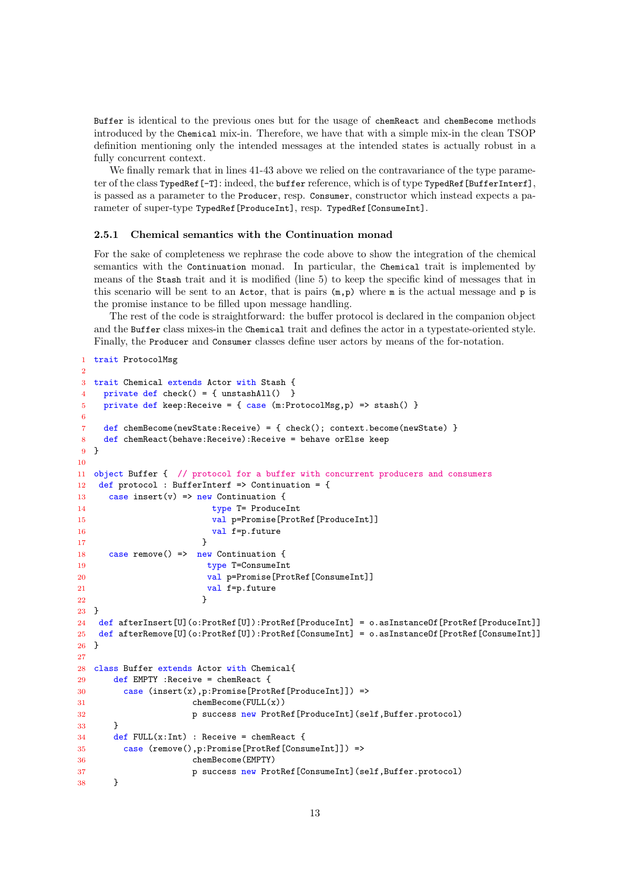Buffer is identical to the previous ones but for the usage of chemReact and chemBecome methods introduced by the Chemical mix-in. Therefore, we have that with a simple mix-in the clean TSOP definition mentioning only the intended messages at the intended states is actually robust in a fully concurrent context.

We finally remark that in lines  $41-43$  above we relied on the contravariance of the type parameter of the class TypedRef[-T]: indeed, the buffer reference, which is of type TypedRef[BufferInterf], is passed as a parameter to the Producer, resp. Consumer, constructor which instead expects a parameter of super-type TypedRef[ProduceInt], resp. TypedRef[ConsumeInt].

#### 2.5.1 Chemical semantics with the Continuation monad

For the sake of completeness we rephrase the code above to show the integration of the chemical semantics with the Continuation monad. In particular, the Chemical trait is implemented by means of the Stash trait and it is modified (line 5) to keep the specific kind of messages that in this scenario will be sent to an Actor, that is pairs  $(m, p)$  where m is the actual message and p is the promise instance to be filled upon message handling.

The rest of the code is straightforward: the buffer protocol is declared in the companion object and the Buffer class mixes-in the Chemical trait and defines the actor in a typestate-oriented style. Finally, the Producer and Consumer classes define user actors by means of the for-notation.

```
1 trait ProtocolMsg
\overline{2}3 trait Chemical extends Actor with Stash {
4 private def check() = { unstashAll() }
5 private def keep:Receive = { case (m:ProtocolMsg,p) => stash() }
6
7 def chemBecome(newState:Receive) = { check(); context.become(newState) }
8 def chemReact(behave:Receive):Receive = behave orElse keep
9 }
10
11 object Buffer { // protocol for a buffer with concurrent producers and consumers
12 def protocol : BufferInterf => Continuation = {
13 case insert(v) => new Continuation {
14 type T= ProduceInt
15 val p=Promise[ProtRef[ProduceInt]]
16 val f=p.future
17 }
18 case remove() => new Continuation {
19 type T=ConsumeInt
20 val p=Promise[ProtRef[ConsumeInt]]
21 val f=p.future
22 }
23 }
24 def afterInsert[U](o:ProtRef[U]):ProtRef[ProduceInt] = o.asInstanceOf[ProtRef[ProduceInt]]
25 def afterRemove[U](o:ProtRef[U]):ProtRef[ConsumeInt] = o.asInstanceOf[ProtRef[ConsumeInt]]
26 }
27
28 class Buffer extends Actor with Chemical{
29 def EMPTY :Receive = chemReact {
30 case (insert(x),p:Promise[ProtRef[ProduceInt]]) =>
31 chemBecome(FULL(x))
32 p success new ProtRef[ProduceInt](self,Buffer.protocol)
33 }
34 def FULL(x:Int): Receive = chemReact {
35 case (remove(),p:Promise[ProtRef[ConsumeInt]]) =>
36 chemBecome(EMPTY)
37 p success new ProtRef[ConsumeInt](self,Buffer.protocol)
38 }
```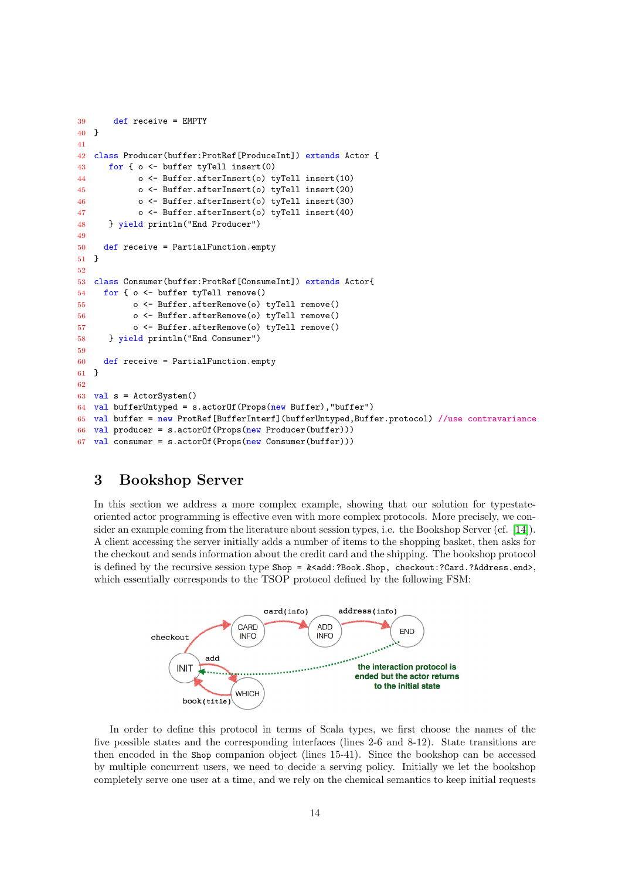```
39 def receive = EMPTY
40 }
41
42 class Producer(buffer:ProtRef[ProduceInt]) extends Actor {
43 for { o <- buffer tyTell insert(0)
44 o <- Buffer.afterInsert(o) tyTell insert(10)
45 o <- Buffer.afterInsert(o) tyTell insert(20)
46 o <- Buffer.afterInsert(o) tyTell insert(30)
47 o <- Buffer.afterInsert(o) tyTell insert(40)
48 } yield println("End Producer")
49
50 def receive = PartialFunction.empty
51 }
52
53 class Consumer(buffer:ProtRef[ConsumeInt]) extends Actor{
54 for { o <- buffer tyTell remove()
55 o <- Buffer.afterRemove(o) tyTell remove()
56 o <- Buffer.afterRemove(o) tyTell remove()
57 o <- Buffer.afterRemove(o) tyTell remove()
58 } yield println("End Consumer")
59
60 def receive = PartialFunction.empty
61 }
62
63 val s = ActorSystem()
64 val bufferUntyped = s.actorOf(Props(new Buffer), "buffer")
65 val buffer = new ProtRef[BufferInterf](bufferUntyped,Buffer.protocol) //use contravariance
66 val producer = s.actorOf(Props(new Producer(buffer)))
67 val consumer = s.actorOf(Props(new Consumer(buffer)))
```
### 3 Bookshop Server

In this section we address a more complex example, showing that our solution for typestateoriented actor programming is effective even with more complex protocols. More precisely, we consider an example coming from the literature about session types, i.e. the Bookshop Server (cf. [\[14\]](#page-17-13)). A client accessing the server initially adds a number of items to the shopping basket, then asks for the checkout and sends information about the credit card and the shipping. The bookshop protocol is defined by the recursive session type  $\text{Shop} = \< add:?Book.Shop, checkout:?Card.?Address.end>,$ which essentially corresponds to the TSOP protocol defined by the following FSM:



In order to define this protocol in terms of Scala types, we first choose the names of the five possible states and the corresponding interfaces (lines 2-6 and 8-12). State transitions are then encoded in the Shop companion object (lines 15-41). Since the bookshop can be accessed by multiple concurrent users, we need to decide a serving policy. Initially we let the bookshop completely serve one user at a time, and we rely on the chemical semantics to keep initial requests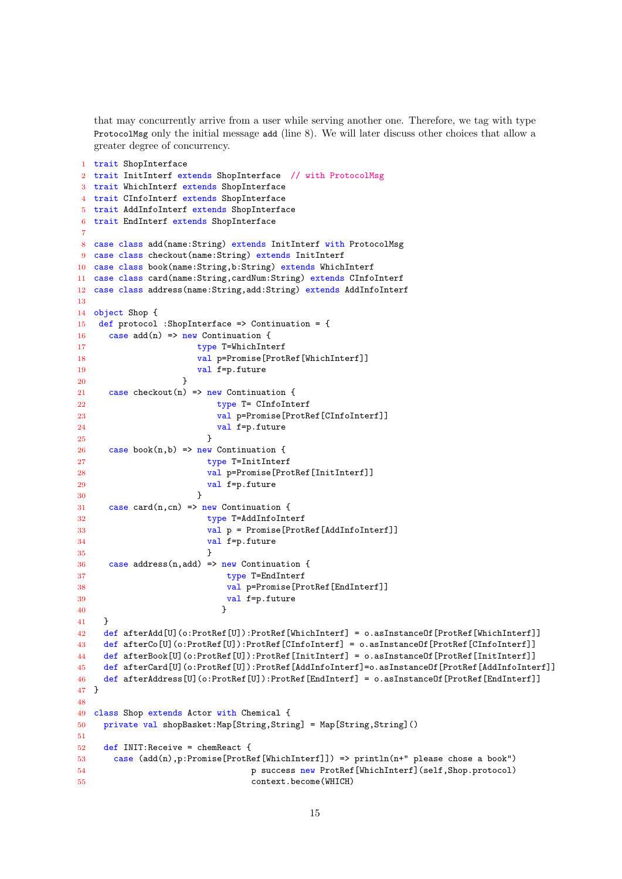that may concurrently arrive from a user while serving another one. Therefore, we tag with type ProtocolMsg only the initial message add (line 8). We will later discuss other choices that allow a greater degree of concurrency.

```
1 trait ShopInterface
2 trait InitInterf extends ShopInterface // with ProtocolMsg
3 trait WhichInterf extends ShopInterface
4 trait CInfoInterf extends ShopInterface
5 trait AddInfoInterf extends ShopInterface
6 trait EndInterf extends ShopInterface
7
8 case class add(name:String) extends InitInterf with ProtocolMsg
9 case class checkout(name:String) extends InitInterf
10 case class book(name:String,b:String) extends WhichInterf
11 case class card(name:String,cardNum:String) extends CInfoInterf
12 case class address(name:String,add:String) extends AddInfoInterf
13
14 object Shop {
15 def protocol :ShopInterface => Continuation = {
16 case add(n) \Rightarrow new Continuation {
17 type T=WhichInterf
18 val p=Promise[ProtRef[WhichInterf]]
19 val f=p.future
20 }
21 case checkout (n) => new Continuation {
22 type T= CInfoInterf
23 val p=Promise[ProtRef[CInfoInterf]]
24 val f=p.future
25 }
26 case book(n,b) => new Continuation {
27 type T=InitInterf
28 val p=Promise[ProtRef[InitInterf]]
29 val f=p.future
30 }
31 case card(n,cn) => new Continuation {
32 type T=AddInfoInterf
33 val p = Promise[ProtRef[AddInfoInterf]]
34 val f=p.future
35 }
36 case address(n,add) => new Continuation {
37 type T=EndInterf
38 val p=Promise[ProtRef[EndInterf]]
39 val f=p.future
40 }
41 }
42 def afterAdd[U](o:ProtRef[U]):ProtRef[WhichInterf] = o.asInstanceOf[ProtRef[WhichInterf]]
43 def afterCo[U](o:ProtRef[U]):ProtRef[CInfoInterf] = o.asInstanceOf[ProtRef[CInfoInterf]]
44 def afterBook[U](o:ProtRef[U]):ProtRef[InitInterf] = o.asInstanceOf[ProtRef[InitInterf]]
45 def afterCard[U](o:ProtRef[U]):ProtRef[AddInfoInterf]=o.asInstanceOf[ProtRef[AddInfoInterf]]
46 def afterAddress[U](o:ProtRef[U]):ProtRef[EndInterf] = o.asInstanceOf[ProtRef[EndInterf]]
47 }
48
49 class Shop extends Actor with Chemical {
50 private val shopBasket:Map[String,String] = Map[String,String]()
51
52 def INIT:Receive = chemReact {
53 case (add(n),p:Promise[ProtRef[WhichInterf]]) => println(n+" please chose a book")
54 p success new ProtRef[WhichInterf](self,Shop.protocol)
55 context.become(WHICH)
```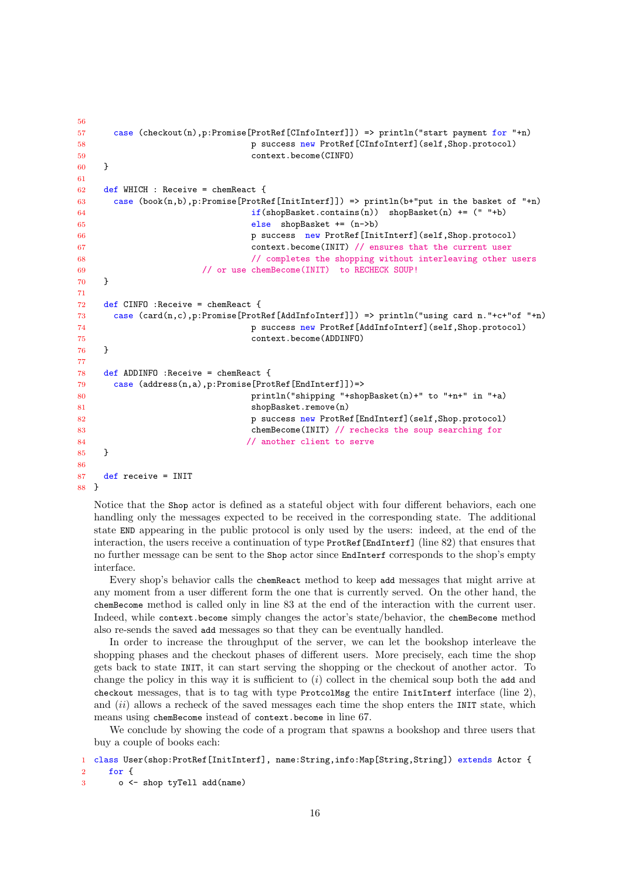```
56
57 case (checkout(n),p:Promise[ProtRef[CInfoInterf]]) => println("start payment for "+n)
58 p success new ProtRef[CInfoInterf](self,Shop.protocol)
59 context.become(CINFO)
60 }
61
62 def WHICH : Receive = chemReact {
63 case (book(n,b),p:Promise[ProtRef[InitInterf]]) => println(b+"put in the basket of "+n)
64 if(shopBasket.contains(n)) shopBasket(n) += (" "+b)65 else shopBasket += (n->b)
66 p success new ProtRef[InitInterf](self,Shop.protocol)
67 context.become(INIT) // ensures that the current user
68 // completes the shopping without interleaving other users
69 // or use chemBecome(INIT) to RECHECK SOUP!
70 }
71
72 def CINFO :Receive = chemReact {
73 case (card(n,c),p:Promise[ProtRef[AddInfoInterf]]) => println("using card n."+c+"of "+n)
74 p success new ProtRef[AddInfoInterf](self,Shop.protocol)
75 context.become(ADDINFO)
76 }
77
78 def ADDINFO :Receive = chemReact {
79 case (address(n,a),p:Promise[ProtRef[EndInterf]])=>
80 println("shipping "+shopBasket(n)+" to "+n+" in "+a)
81 shopBasket.remove(n)
82 p success new ProtRef[EndInterf](self,Shop.protocol)
83 chemBecome(INIT) // rechecks the soup searching for
84 // another client to serve
85 }
86
87 def receive = INIT
88 }
```
Notice that the Shop actor is defined as a stateful object with four different behaviors, each one handling only the messages expected to be received in the corresponding state. The additional state END appearing in the public protocol is only used by the users: indeed, at the end of the interaction, the users receive a continuation of type ProtRef[EndInterf] (line 82) that ensures that no further message can be sent to the Shop actor since EndInterf corresponds to the shop's empty interface.

Every shop's behavior calls the chemReact method to keep add messages that might arrive at any moment from a user different form the one that is currently served. On the other hand, the chemBecome method is called only in line 83 at the end of the interaction with the current user. Indeed, while context.become simply changes the actor's state/behavior, the chemBecome method also re-sends the saved add messages so that they can be eventually handled.

In order to increase the throughput of the server, we can let the bookshop interleave the shopping phases and the checkout phases of different users. More precisely, each time the shop gets back to state INIT, it can start serving the shopping or the checkout of another actor. To change the policy in this way it is sufficient to  $(i)$  collect in the chemical soup both the add and checkout messages, that is to tag with type ProtcolMsg the entire InitInterf interface (line ), and *(ii)* allows a recheck of the saved messages each time the shop enters the INIT state, which means using chemBecome instead of context.become in line 67.

We conclude by showing the code of a program that spawns a bookshop and three users that buy a couple of books each:

1 class User(shop:ProtRef[InitInterf], name:String,info:Map[String,String]) extends Actor { for {

```
3 o <- shop tyTell add(name)
```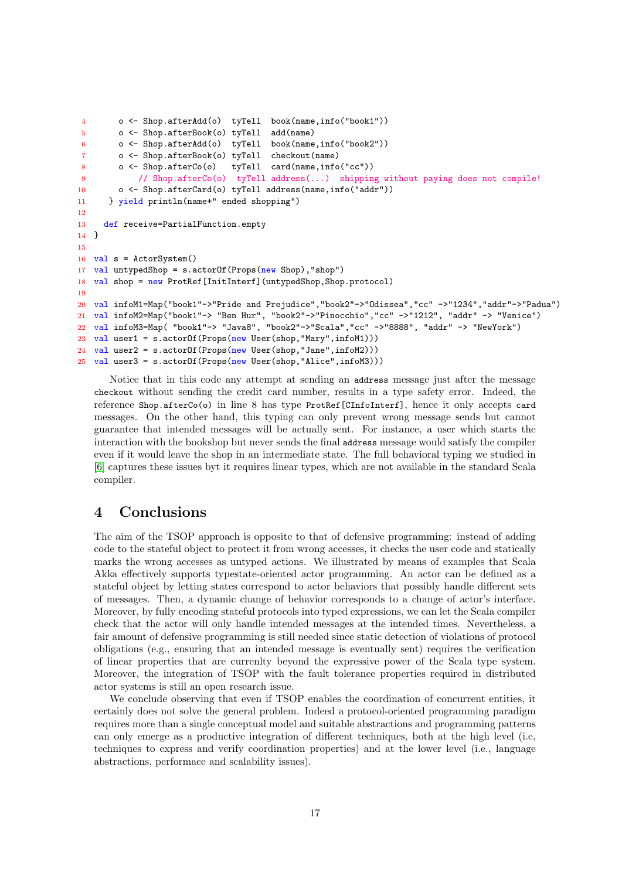```
4 o <- Shop.afterAdd(o) tyTell book(name,info("book1"))
5 o <- Shop.afterBook(o) tyTell add(name)
6 o <- Shop.afterAdd(o) tyTell book(name,info("book2"))
7 o <- Shop.afterBook(o) tyTell checkout(name)
8 o <- Shop.afterCo(o) tyTell card(name,info("cc"))
9 // Shop.afterCo(o) tyTell address(...) shipping without paying does not compile!
10 o <- Shop.afterCard(o) tyTell address(name,info("addr"))
11 } yield println(name+" ended shopping")
12
13 def receive=PartialFunction.empty
14 }
15
16 val s = ActorSystem()
17 val untypedShop = s.actorOf(Props(new Shop),"shop")
18 val shop = new ProtRef[InitInterf](untypedShop,Shop.protocol)
19
20 val infoM1=Map("book1"->"Pride and Prejudice","book2"->"Odissea","cc" ->"1234","addr"->"Padua")
21 val infoM2=Map("book1"-> "Ben Hur", "book2"->"Pinocchio","cc" ->"1212", "addr" -> "Venice")
22 val infoM3=Map( "book1"-> "Java8", "book2"->"Scala","cc" ->"8888", "addr" -> "NewYork")
23 val user1 = s.actorOf(Props(new User(shop,"Mary",infoM1)))
24 val user2 = s.actorOf(Props(new User(shop,"Jane",infoM2)))
25 val user3 = s.actorOf(Props(new User(shop,"Alice",infoM3)))
```
Notice that in this code any attempt at sending an address message just after the message checkout without sending the credit card number, results in a type safety error. Indeed, the reference Shop.afterCo(o) in line 8 has type ProtRef[CInfoInterf], hence it only accepts card messages. On the other hand, this typing can only prevent wrong message sends but cannot guarantee that intended messages will be actually sent. For instance, a user which starts the interaction with the bookshop but never sends the final address message would satisfy the compiler even if it would leave the shop in an intermediate state. The full behavioral typing we studied in [\[6\]](#page-17-3) captures these issues byt it requires linear types, which are not available in the standard Scala compiler.

### 4 Conclusions

The aim of the TSOP approach is opposite to that of defensive programming: instead of adding code to the stateful object to protect it from wrong accesses, it checks the user code and statically marks the wrong accesses as untyped actions. We illustrated by means of examples that Scala Akka effectively supports typestate-oriented actor programming. An actor can be defined as a stateful object by letting states correspond to actor behaviors that possibly handle different sets of messages. Then, a dynamic change of behavior corresponds to a change of actor's interface. Moreover, by fully encoding stateful protocols into typed expressions, we can let the Scala compiler check that the actor will only handle intended messages at the intended times. Nevertheless, a fair amount of defensive programming is still needed since static detection of violations of protocol obligations (e.g., ensuring that an intended message is eventually sent) requires the verification of linear properties that are currenlty beyond the expressive power of the Scala type system. Moreover, the integration of TSOP with the fault tolerance properties required in distributed actor systems is still an open research issue.

We conclude observing that even if TSOP enables the coordination of concurrent entities, it certainly does not solve the general problem. Indeed a protocol-oriented programming paradigm requires more than a single conceptual model and suitable abstractions and programming patterns can only emerge as a productive integration of different techniques, both at the high level (i.e, techniques to express and verify coordination properties) and at the lower level (i.e., language abstractions, performace and scalability issues).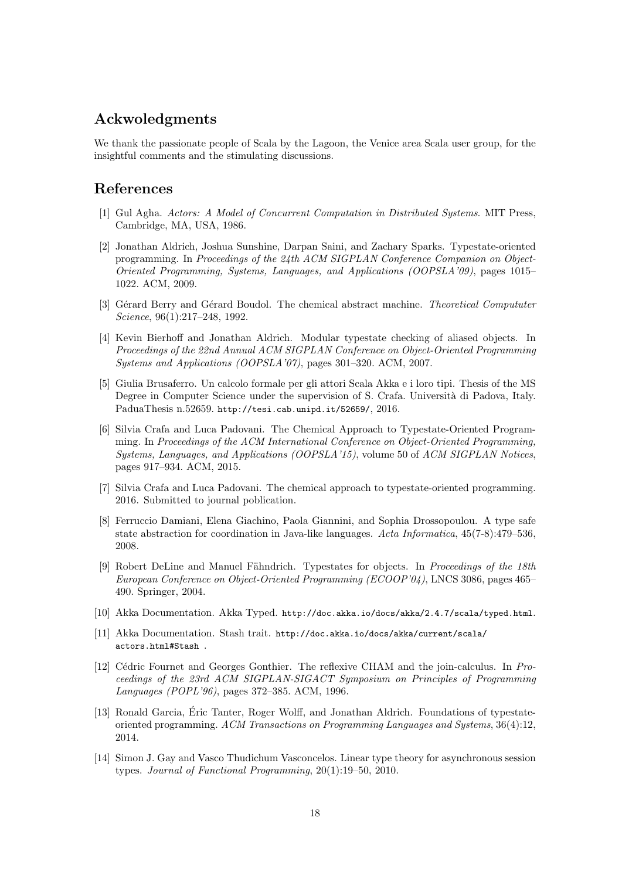## Ackwoledgments

We thank the passionate people of Scala by the Lagoon, the Venice area Scala user group, for the insightful comments and the stimulating discussions.

### References

- <span id="page-17-6"></span>[1] Gul Agha. Actors: A Model of Concurrent Computation in Distributed Systems. MIT Press, Cambridge, MA, USA, 1986.
- <span id="page-17-1"></span>[2] Jonathan Aldrich, Joshua Sunshine, Darpan Saini, and Zachary Sparks. Typestate-oriented programming. In Proceedings of the 24th ACM SIGPLAN Conference Companion on Object-Oriented Programming, Systems, Languages, and Applications (OOPSLA'09), pages 1015– 1022. ACM, 2009.
- <span id="page-17-11"></span>[3] Gérard Berry and Gérard Boudol. The chemical abstract machine. *Theoretical Compututer* Science, 96(1):217–248, 1992.
- <span id="page-17-9"></span>[4] Kevin Bierhoff and Jonathan Aldrich. Modular typestate checking of aliased objects. In Proceedings of the 22nd Annual ACM SIGPLAN Conference on Object-Oriented Programming Systems and Applications (OOPSLA'07), pages 301–320. ACM, 2007.
- <span id="page-17-8"></span>[5] Giulia Brusaferro. Un calcolo formale per gli attori Scala Akka e i loro tipi. Thesis of the MS Degree in Computer Science under the supervision of S. Crafa. Università di Padova, Italy. PaduaThesis n.52659. http://tesi.cab.unipd.it/52659/, 2016.
- <span id="page-17-3"></span>[6] Silvia Crafa and Luca Padovani. The Chemical Approach to Typestate-Oriented Programming. In Proceedings of the ACM International Conference on Object-Oriented Programming, Systems, Languages, and Applications (OOPSLA'15), volume 50 of ACM SIGPLAN Notices, pages 917–934. ACM, 2015.
- <span id="page-17-5"></span>[7] Silvia Crafa and Luca Padovani. The chemical approach to typestate-oriented programming. 2016. Submitted to journal poblication.
- <span id="page-17-10"></span>[8] Ferruccio Damiani, Elena Giachino, Paola Giannini, and Sophia Drossopoulou. A type safe state abstraction for coordination in Java-like languages. Acta Informatica, 45(7-8):479–536, 2008.
- <span id="page-17-0"></span>[9] Robert DeLine and Manuel Fähndrich. Typestates for objects. In Proceedings of the 18th European Conference on Object-Oriented Programming (ECOOP'04), LNCS 3086, pages 465– 490. Springer, 2004.
- <span id="page-17-7"></span>[10] Akka Documentation. Akka Typed. http://doc.akka.io/docs/akka/2.4.7/scala/typed.html.
- <span id="page-17-12"></span>[11] Akka Documentation. Stash trait. http://doc.akka.io/docs/akka/current/scala/ actors.html#Stash .
- <span id="page-17-4"></span>[12] Cédric Fournet and Georges Gonthier. The reflexive CHAM and the join-calculus. In Proceedings of the 23rd ACM SIGPLAN-SIGACT Symposium on Principles of Programming Languages (POPL'96), pages 372–385. ACM, 1996.
- <span id="page-17-2"></span>[13] Ronald Garcia, Eric Tanter, Roger Wolff, and Jonathan Aldrich. Foundations of typestate- ´ oriented programming. ACM Transactions on Programming Languages and Systems, 36(4):12, 2014.
- <span id="page-17-13"></span>[14] Simon J. Gay and Vasco Thudichum Vasconcelos. Linear type theory for asynchronous session types. Journal of Functional Programming, 20(1):19–50, 2010.